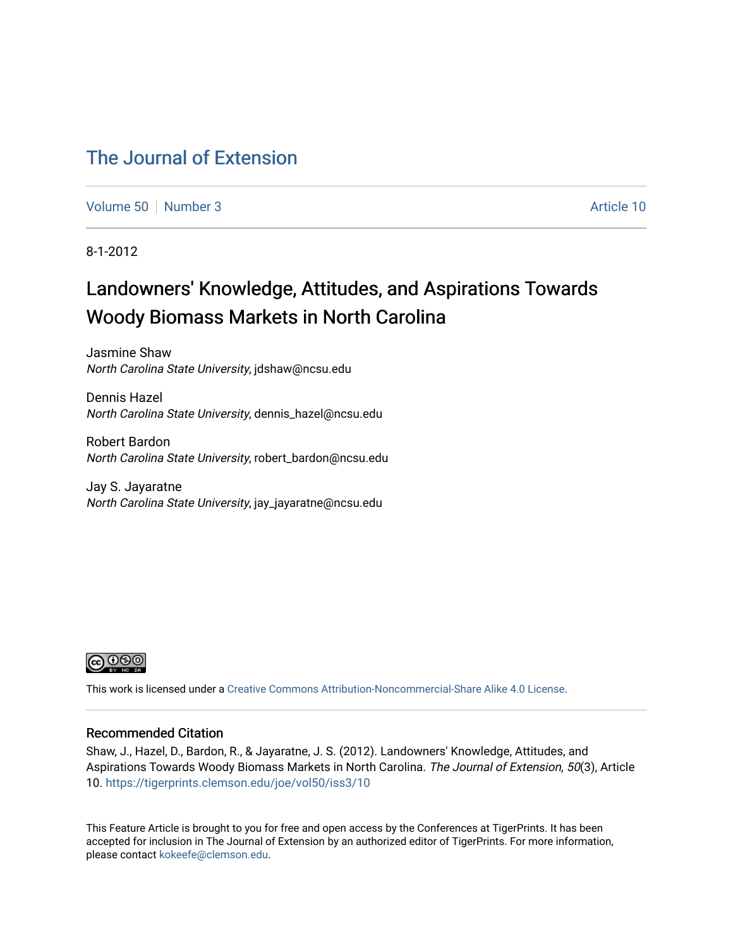# [The Journal of Extension](https://tigerprints.clemson.edu/joe)

[Volume 50](https://tigerprints.clemson.edu/joe/vol50) [Number 3](https://tigerprints.clemson.edu/joe/vol50/iss3) Article 10

8-1-2012

# Landowners' Knowledge, Attitudes, and Aspirations Towards Woody Biomass Markets in North Carolina

Jasmine Shaw North Carolina State University, jdshaw@ncsu.edu

Dennis Hazel North Carolina State University, dennis\_hazel@ncsu.edu

Robert Bardon North Carolina State University, robert\_bardon@ncsu.edu

Jay S. Jayaratne North Carolina State University, jay\_jayaratne@ncsu.edu



This work is licensed under a [Creative Commons Attribution-Noncommercial-Share Alike 4.0 License.](https://creativecommons.org/licenses/by-nc-sa/4.0/)

### Recommended Citation

Shaw, J., Hazel, D., Bardon, R., & Jayaratne, J. S. (2012). Landowners' Knowledge, Attitudes, and Aspirations Towards Woody Biomass Markets in North Carolina. The Journal of Extension, 50(3), Article 10.<https://tigerprints.clemson.edu/joe/vol50/iss3/10>

This Feature Article is brought to you for free and open access by the Conferences at TigerPrints. It has been accepted for inclusion in The Journal of Extension by an authorized editor of TigerPrints. For more information, please contact [kokeefe@clemson.edu](mailto:kokeefe@clemson.edu).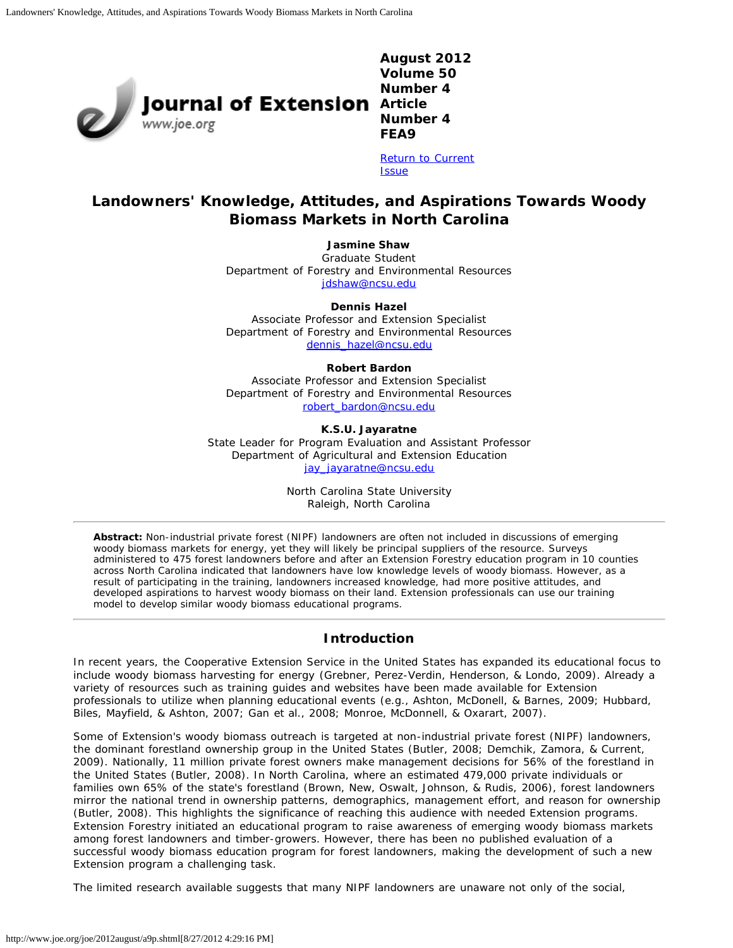

**August 2012 Volume 50 Number 4 Number 4 FEA9**

[Return to Current](http://www.joe.org/joe/2012august/) **[Issue](http://www.joe.org/joe/2012august/)** 

# **Landowners' Knowledge, Attitudes, and Aspirations Towards Woody Biomass Markets in North Carolina**

**Jasmine Shaw**

Graduate Student Department of Forestry and Environmental Resources [jdshaw@ncsu.edu](mailto:jdshaw@ncsu.edu)

**Dennis Hazel**

Associate Professor and Extension Specialist Department of Forestry and Environmental Resources [dennis\\_hazel@ncsu.edu](mailto:dennis_hazel@ncsu.edu)

#### **Robert Bardon**

Associate Professor and Extension Specialist Department of Forestry and Environmental Resources [robert\\_bardon@ncsu.edu](mailto:robert_bardon@ncsu.edu)

**K.S.U. Jayaratne**

State Leader for Program Evaluation and Assistant Professor Department of Agricultural and Extension Education jay jayaratne@ncsu.edu

> North Carolina State University Raleigh, North Carolina

*Abstract: Non-industrial private forest (NIPF) landowners are often not included in discussions of emerging woody biomass markets for energy, yet they will likely be principal suppliers of the resource. Surveys administered to 475 forest landowners before and after an Extension Forestry education program in 10 counties across North Carolina indicated that landowners have low knowledge levels of woody biomass. However, as a result of participating in the training, landowners increased knowledge, had more positive attitudes, and developed aspirations to harvest woody biomass on their land. Extension professionals can use our training model to develop similar woody biomass educational programs.*

# **Introduction**

In recent years, the Cooperative Extension Service in the United States has expanded its educational focus to include woody biomass harvesting for energy (Grebner, Perez-Verdin, Henderson, & Londo, 2009). Already a variety of resources such as training guides and websites have been made available for Extension professionals to utilize when planning educational events (e.g., Ashton, McDonell, & Barnes, 2009; Hubbard, Biles, Mayfield, & Ashton, 2007; Gan et al., 2008; Monroe, McDonnell, & Oxarart, 2007).

Some of Extension's woody biomass outreach is targeted at non-industrial private forest (NIPF) landowners, the dominant forestland ownership group in the United States (Butler, 2008; Demchik, Zamora, & Current, 2009). Nationally, 11 million private forest owners make management decisions for 56% of the forestland in the United States (Butler, 2008). In North Carolina, where an estimated 479,000 private individuals or families own 65% of the state's forestland (Brown, New, Oswalt, Johnson, & Rudis, 2006), forest landowners mirror the national trend in ownership patterns, demographics, management effort, and reason for ownership (Butler, 2008). This highlights the significance of reaching this audience with needed Extension programs. Extension Forestry initiated an educational program to raise awareness of emerging woody biomass markets among forest landowners and timber-growers. However, there has been no published evaluation of a successful woody biomass education program for forest landowners, making the development of such a new Extension program a challenging task.

The limited research available suggests that many NIPF landowners are unaware not only of the social,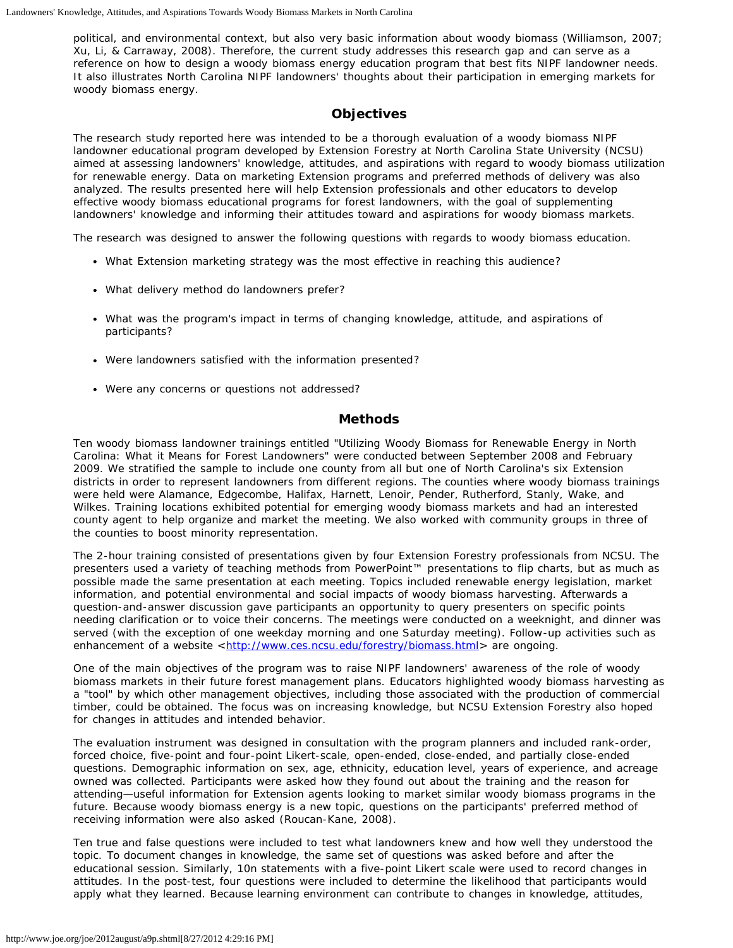political, and environmental context, but also very basic information about woody biomass (Williamson, 2007; Xu, Li, & Carraway, 2008). Therefore, the current study addresses this research gap and can serve as a reference on how to design a woody biomass energy education program that best fits NIPF landowner needs. It also illustrates North Carolina NIPF landowners' thoughts about their participation in emerging markets for woody biomass energy.

#### **Objectives**

The research study reported here was intended to be a thorough evaluation of a woody biomass NIPF landowner educational program developed by Extension Forestry at North Carolina State University (NCSU) aimed at assessing landowners' knowledge, attitudes, and aspirations with regard to woody biomass utilization for renewable energy. Data on marketing Extension programs and preferred methods of delivery was also analyzed. The results presented here will help Extension professionals and other educators to develop effective woody biomass educational programs for forest landowners, with the goal of supplementing landowners' knowledge and informing their attitudes toward and aspirations for woody biomass markets.

The research was designed to answer the following questions with regards to woody biomass education.

- What Extension marketing strategy was the most effective in reaching this audience?
- What delivery method do landowners prefer?
- What was the program's impact in terms of changing knowledge, attitude, and aspirations of participants?
- Were landowners satisfied with the information presented?
- Were any concerns or questions not addressed?

#### **Methods**

Ten woody biomass landowner trainings entitled "Utilizing Woody Biomass for Renewable Energy in North Carolina: What it Means for Forest Landowners" were conducted between September 2008 and February 2009. We stratified the sample to include one county from all but one of North Carolina's six Extension districts in order to represent landowners from different regions. The counties where woody biomass trainings were held were Alamance, Edgecombe, Halifax, Harnett, Lenoir, Pender, Rutherford, Stanly, Wake, and Wilkes. Training locations exhibited potential for emerging woody biomass markets and had an interested county agent to help organize and market the meeting. We also worked with community groups in three of the counties to boost minority representation.

The 2-hour training consisted of presentations given by four Extension Forestry professionals from NCSU. The presenters used a variety of teaching methods from PowerPoint™ presentations to flip charts, but as much as possible made the same presentation at each meeting. Topics included renewable energy legislation, market information, and potential environmental and social impacts of woody biomass harvesting. Afterwards a question-and-answer discussion gave participants an opportunity to query presenters on specific points needing clarification or to voice their concerns. The meetings were conducted on a weeknight, and dinner was served (with the exception of one weekday morning and one Saturday meeting). Follow-up activities such as enhancement of a website <[http://www.ces.ncsu.edu/forestry/biomass.html>](http://www.ces.ncsu.edu/forestry/biomass.html) are ongoing.

One of the main objectives of the program was to raise NIPF landowners' awareness of the role of woody biomass markets in their future forest management plans. Educators highlighted woody biomass harvesting as a "tool" by which other management objectives, including those associated with the production of commercial timber, could be obtained. The focus was on increasing knowledge, but NCSU Extension Forestry also hoped for changes in attitudes and intended behavior.

The evaluation instrument was designed in consultation with the program planners and included rank-order, forced choice, five-point and four-point Likert-scale, open-ended, close-ended, and partially close-ended questions. Demographic information on sex, age, ethnicity, education level, years of experience, and acreage owned was collected. Participants were asked how they found out about the training and the reason for attending—useful information for Extension agents looking to market similar woody biomass programs in the future. Because woody biomass energy is a new topic, questions on the participants' preferred method of receiving information were also asked (Roucan-Kane, 2008).

Ten true and false questions were included to test what landowners knew and how well they understood the topic. To document changes in knowledge, the same set of questions was asked before and after the educational session. Similarly, 10n statements with a five-point Likert scale were used to record changes in attitudes. In the post-test, four questions were included to determine the likelihood that participants would apply what they learned. Because learning environment can contribute to changes in knowledge, attitudes,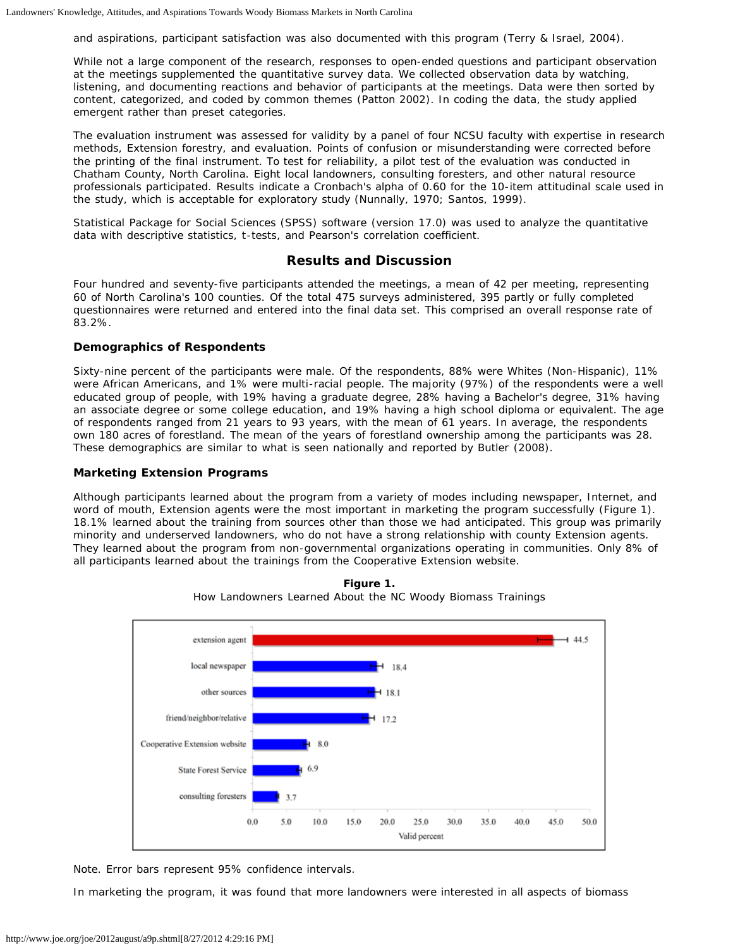and aspirations, participant satisfaction was also documented with this program (Terry & Israel, 2004).

While not a large component of the research, responses to open-ended questions and participant observation at the meetings supplemented the quantitative survey data. We collected observation data by watching, listening, and documenting reactions and behavior of participants at the meetings. Data were then sorted by content, categorized, and coded by common themes (Patton 2002). In coding the data, the study applied emergent rather than preset categories.

The evaluation instrument was assessed for validity by a panel of four NCSU faculty with expertise in research methods, Extension forestry, and evaluation. Points of confusion or misunderstanding were corrected before the printing of the final instrument. To test for reliability, a pilot test of the evaluation was conducted in Chatham County, North Carolina. Eight local landowners, consulting foresters, and other natural resource professionals participated. Results indicate a Cronbach's alpha of 0.60 for the 10-item attitudinal scale used in the study, which is acceptable for exploratory study (Nunnally, 1970; Santos, 1999).

Statistical Package for Social Sciences (SPSS) software (version 17.0) was used to analyze the quantitative data with descriptive statistics, t-tests, and Pearson's correlation coefficient.

### **Results and Discussion**

Four hundred and seventy-five participants attended the meetings, a mean of 42 per meeting, representing 60 of North Carolina's 100 counties. Of the total 475 surveys administered, 395 partly or fully completed questionnaires were returned and entered into the final data set. This comprised an overall response rate of 83.2%.

#### **Demographics of Respondents**

Sixty-nine percent of the participants were male. Of the respondents, 88% were Whites (Non-Hispanic), 11% were African Americans, and 1% were multi-racial people. The majority (97%) of the respondents were a well educated group of people, with 19% having a graduate degree, 28% having a Bachelor's degree, 31% having an associate degree or some college education, and 19% having a high school diploma or equivalent. The age of respondents ranged from 21 years to 93 years, with the mean of 61 years. In average, the respondents own 180 acres of forestland. The mean of the years of forestland ownership among the participants was 28. These demographics are similar to what is seen nationally and reported by Butler (2008).

#### **Marketing Extension Programs**

Although participants learned about the program from a variety of modes including newspaper, Internet, and word of mouth, Extension agents were the most important in marketing the program successfully (Figure 1). 18.1% learned about the training from sources other than those we had anticipated. This group was primarily minority and underserved landowners, who do not have a strong relationship with county Extension agents. They learned about the program from non-governmental organizations operating in communities. Only 8% of all participants learned about the trainings from the Cooperative Extension website.



**Figure 1.** How Landowners Learned About the NC Woody Biomass Trainings

Note. Error bars represent 95% confidence intervals.

In marketing the program, it was found that more landowners were interested in all aspects of biomass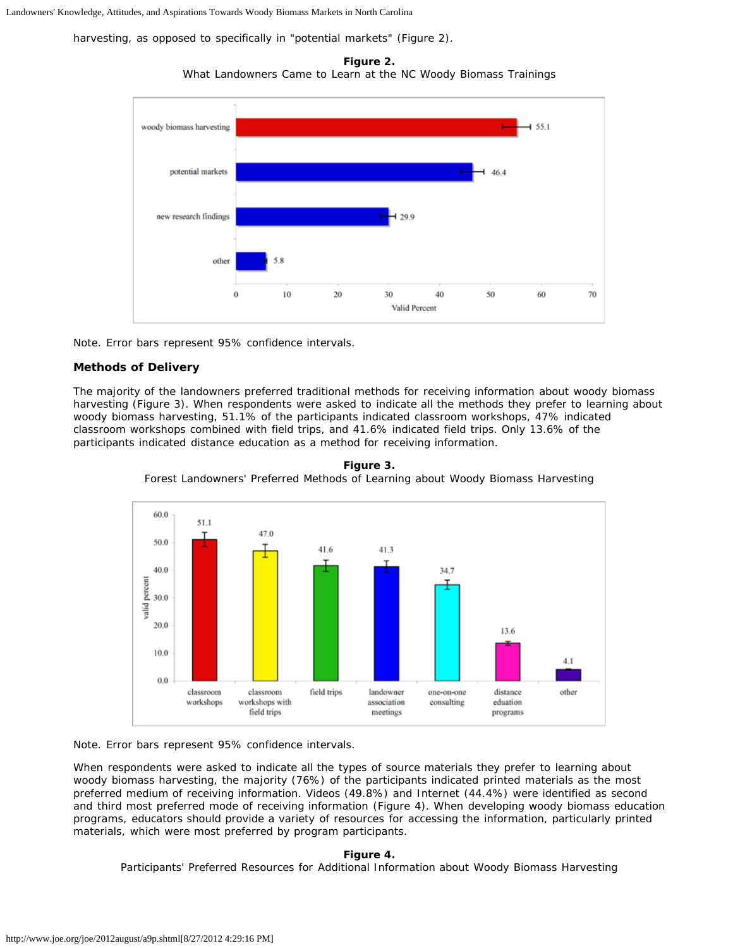Landowners' Knowledge, Attitudes, and Aspirations Towards Woody Biomass Markets in North Carolina

harvesting, as opposed to specifically in "potential markets" (Figure 2).

**Figure 2.** What Landowners Came to Learn at the NC Woody Biomass Trainings



Note. Error bars represent 95% confidence intervals.

#### **Methods of Delivery**

The majority of the landowners preferred traditional methods for receiving information about woody biomass harvesting (Figure 3). When respondents were asked to indicate all the methods they prefer to learning about woody biomass harvesting, 51.1% of the participants indicated classroom workshops, 47% indicated classroom workshops combined with field trips, and 41.6% indicated field trips. Only 13.6% of the participants indicated distance education as a method for receiving information.





Note. Error bars represent 95% confidence intervals.

When respondents were asked to indicate all the types of source materials they prefer to learning about woody biomass harvesting, the majority (76%) of the participants indicated printed materials as the most preferred medium of receiving information. Videos (49.8%) and Internet (44.4%) were identified as second and third most preferred mode of receiving information (Figure 4). When developing woody biomass education programs, educators should provide a variety of resources for accessing the information, particularly printed materials, which were most preferred by program participants.

#### **Figure 4.**

Participants' Preferred Resources for Additional Information about Woody Biomass Harvesting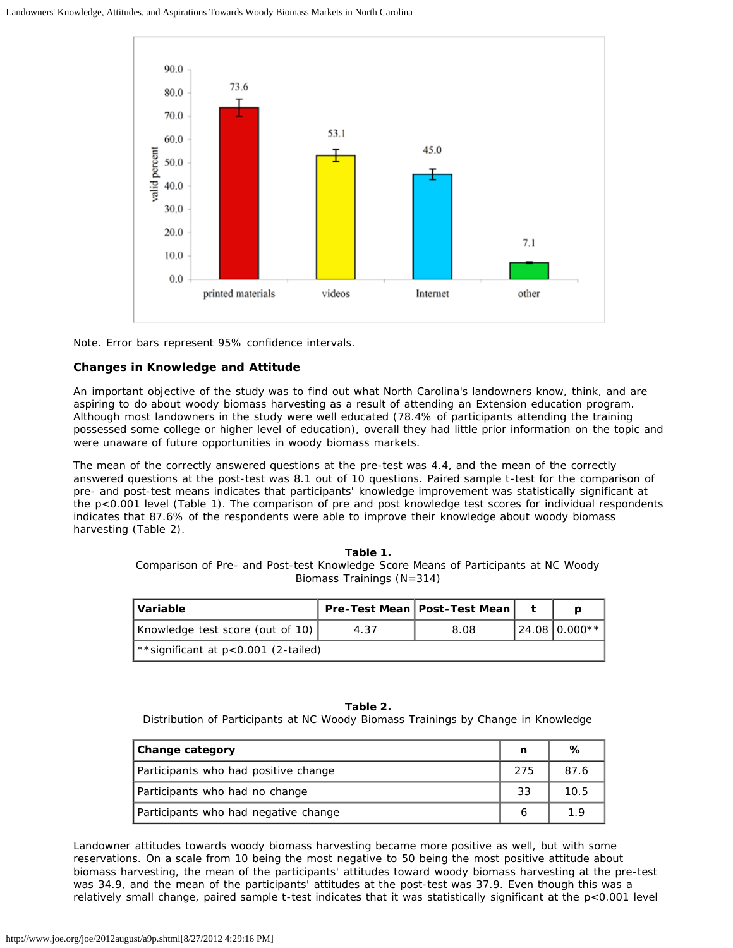

Note. Error bars represent 95% confidence intervals.

#### **Changes in Knowledge and Attitude**

An important objective of the study was to find out what North Carolina's landowners know, think, and are aspiring to do about woody biomass harvesting as a result of attending an Extension education program. Although most landowners in the study were well educated (78.4% of participants attending the training possessed some college or higher level of education), overall they had little prior information on the topic and were unaware of future opportunities in woody biomass markets.

The mean of the correctly answered questions at the pre-test was 4.4, and the mean of the correctly answered questions at the post-test was 8.1 out of 10 questions. Paired sample t-test for the comparison of pre- and post-test means indicates that participants' knowledge improvement was statistically significant at the p<0.001 level (Table 1). The comparison of pre and post knowledge test scores for individual respondents indicates that 87.6% of the respondents were able to improve their knowledge about woody biomass harvesting (Table 2).

> **Table 1.** Comparison of Pre- and Post-test Knowledge Score Means of Participants at NC Woody Biomass Trainings (N=314)

| l Variable                                |      | Pre-Test Mean   Post-Test Mean |                  |
|-------------------------------------------|------|--------------------------------|------------------|
| Knowledge test score (out of 10)          | 4.37 | 8.08                           | $124.0810.000**$ |
| $\star$ significant at p<0.001 (2-tailed) |      |                                |                  |

**Table 2.** Distribution of Participants at NC Woody Biomass Trainings by Change in Knowledge

| Change category                      |     | ℅    |
|--------------------------------------|-----|------|
| Participants who had positive change | 275 | 87.6 |
| Participants who had no change       | 33  | 10.5 |
| Participants who had negative change |     | 19   |

Landowner attitudes towards woody biomass harvesting became more positive as well, but with some reservations. On a scale from 10 being the most negative to 50 being the most positive attitude about biomass harvesting, the mean of the participants' attitudes toward woody biomass harvesting at the pre-test was 34.9, and the mean of the participants' attitudes at the post-test was 37.9. Even though this was a relatively small change, paired sample t-test indicates that it was statistically significant at the p<0.001 level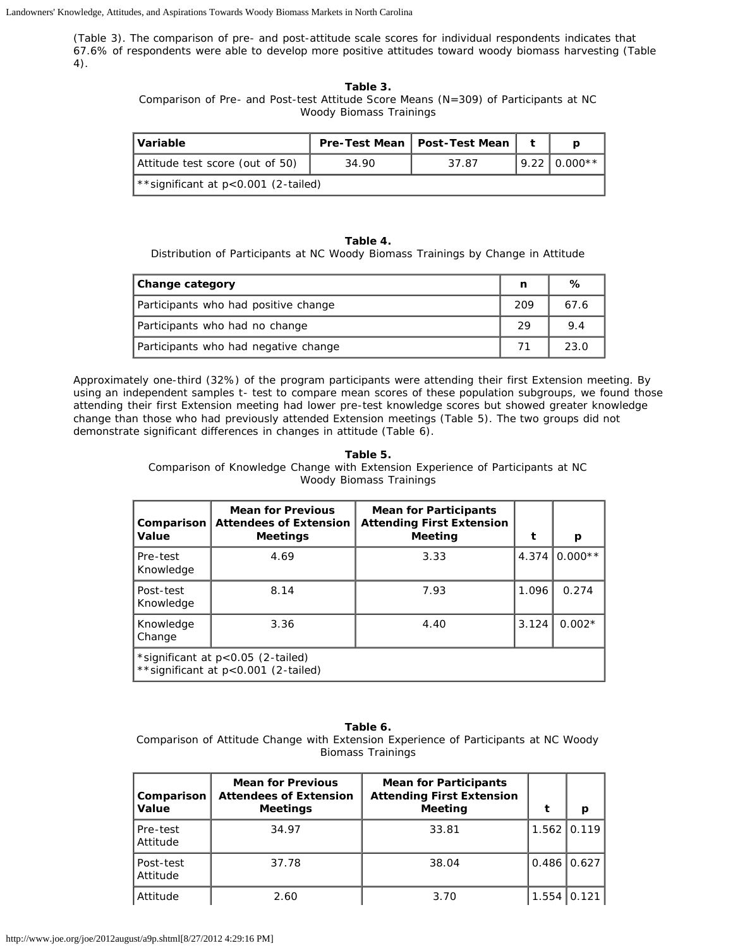(Table 3). The comparison of pre- and post-attitude scale scores for individual respondents indicates that 67.6% of respondents were able to develop more positive attitudes toward woody biomass harvesting (Table 4).

#### **Table 3.**

Comparison of Pre- and Post-test Attitude Score Means (N=309) of Participants at NC Woody Biomass Trainings

| l Variable                          |       | Pre-Test Mean   Post-Test Mean |                   |
|-------------------------------------|-------|--------------------------------|-------------------|
| Attitude test score (out of 50)     | 34.90 | 37.87                          | $19.22$ 1 0.000** |
| **significant at p<0.001 (2-tailed) |       |                                |                   |

#### **Table 4.**

Distribution of Participants at NC Woody Biomass Trainings by Change in Attitude

| Change category                      | n   | %    |
|--------------------------------------|-----|------|
| Participants who had positive change | 209 | 67.6 |
| Participants who had no change       | 29  | 9.4  |
| Participants who had negative change |     | 23.0 |

Approximately one-third (32%) of the program participants were attending their first Extension meeting. By using an independent samples t- test to compare mean scores of these population subgroups, we found those attending their first Extension meeting had lower pre-test knowledge scores but showed greater knowledge change than those who had previously attended Extension meetings (Table 5). The two groups did not demonstrate significant differences in changes in attitude (Table 6).

#### **Table 5.**

Comparison of Knowledge Change with Extension Experience of Participants at NC Woody Biomass Trainings

| Comparison<br>Value    | <b>Mean for Previous</b><br><b>Attendees of Extension</b><br><b>Meetings</b> | <b>Mean for Participants</b><br><b>Attending First Extension</b><br><b>Meeting</b> |       | p                |
|------------------------|------------------------------------------------------------------------------|------------------------------------------------------------------------------------|-------|------------------|
| Pre-test<br>Knowledge  | 4.69                                                                         | 3.33                                                                               |       | 4.374 $ 0.000**$ |
| Post-test<br>Knowledge | 8.14                                                                         | 7.93                                                                               | 1.096 | 0.274            |
| Knowledge<br>Change    | 3.36                                                                         | 4.40                                                                               | 3.124 | $0.002*$         |
|                        | *significant at p<0.05 (2-tailed)<br>** significant at p<0.001 (2-tailed)    |                                                                                    |       |                  |

#### **Table 6.**

Comparison of Attitude Change with Extension Experience of Participants at NC Woody Biomass Trainings

| Comparison<br>Value   | <b>Mean for Previous</b><br><b>Attendees of Extension</b><br><b>Meetings</b> | <b>Mean for Participants</b><br><b>Attending First Extension</b><br>Meeting |               | p     |
|-----------------------|------------------------------------------------------------------------------|-----------------------------------------------------------------------------|---------------|-------|
| Pre-test<br>Attitude  | 34.97                                                                        | 33.81                                                                       | $1.562$ 0.119 |       |
| Post-test<br>Attitude | 37.78                                                                        | 38.04                                                                       | $0.486$ 0.627 |       |
| Attitude              | 2.60                                                                         | 3.70                                                                        | 1.554         | 0.121 |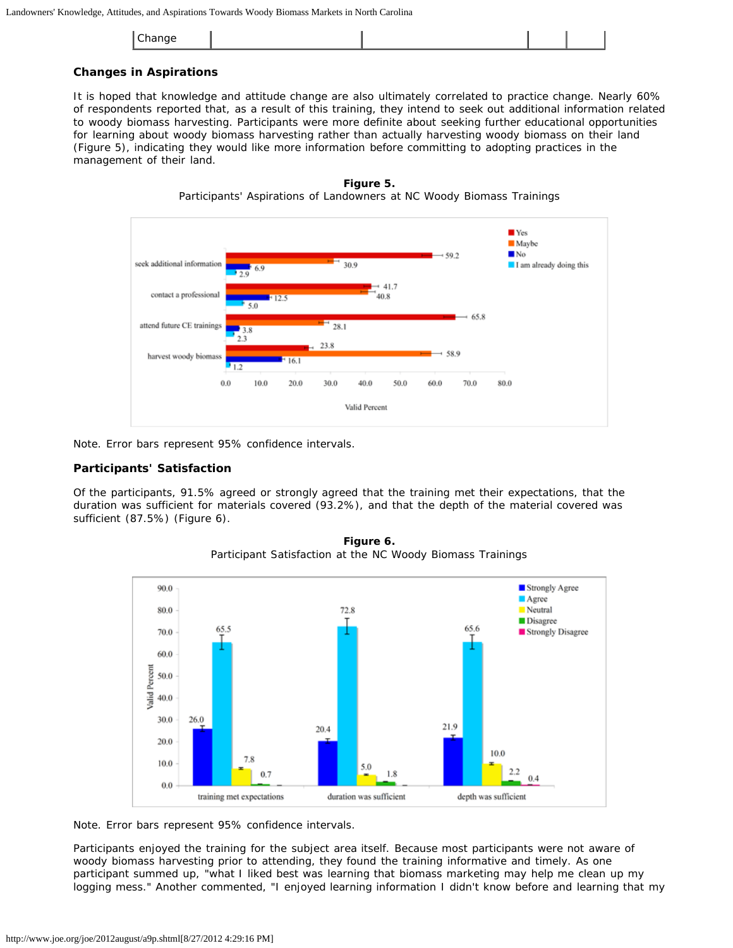|--|

#### **Changes in Aspirations**

It is hoped that knowledge and attitude change are also ultimately correlated to practice change. Nearly 60% of respondents reported that, as a result of this training, they intend to seek out additional information related to woody biomass harvesting. Participants were more definite about seeking further educational opportunities for learning about woody biomass harvesting rather than actually harvesting woody biomass on their land (Figure 5), indicating they would like more information before committing to adopting practices in the management of their land.





Note. Error bars represent 95% confidence intervals.

#### **Participants' Satisfaction**

Of the participants, 91.5% agreed or strongly agreed that the training met their expectations, that the duration was sufficient for materials covered (93.2%), and that the depth of the material covered was sufficient (87.5%) (Figure 6).



**Figure 6.** Participant Satisfaction at the NC Woody Biomass Trainings

Note. Error bars represent 95% confidence intervals.

Participants enjoyed the training for the subject area itself. Because most participants were not aware of woody biomass harvesting prior to attending, they found the training informative and timely. As one participant summed up, "what I liked best was learning that biomass marketing may help me clean up my logging mess." Another commented, "I enjoyed learning information I didn't know before and learning that my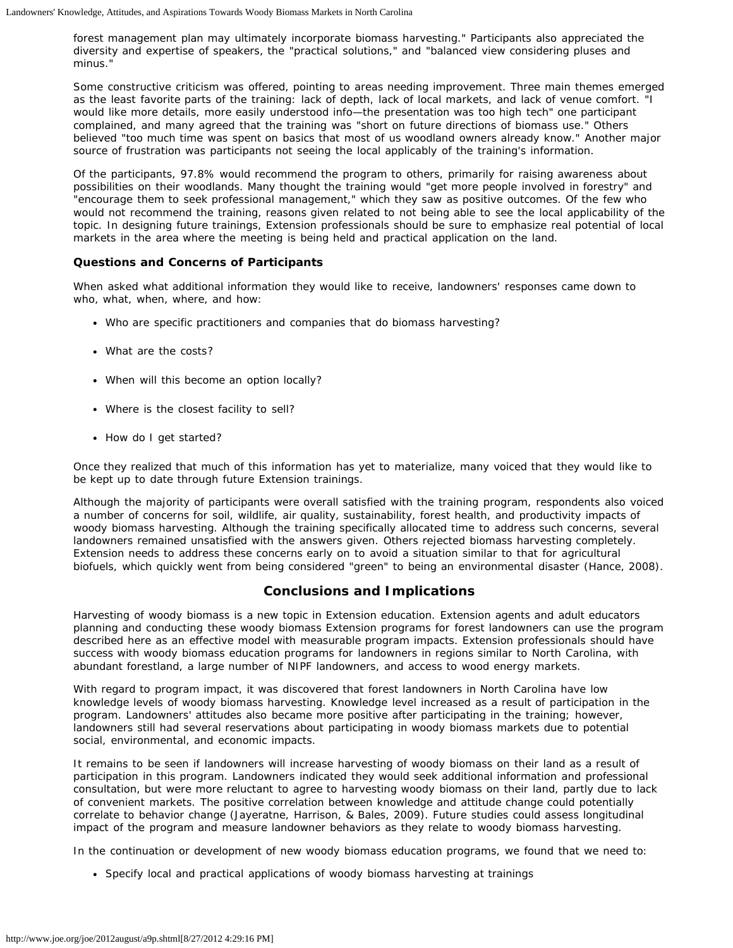forest management plan may ultimately incorporate biomass harvesting." Participants also appreciated the diversity and expertise of speakers, the "practical solutions," and "balanced view considering pluses and minus."

Some constructive criticism was offered, pointing to areas needing improvement. Three main themes emerged as the least favorite parts of the training: lack of depth, lack of local markets, and lack of venue comfort. "I would like more details, more easily understood info—the presentation was too high tech" one participant complained, and many agreed that the training was "short on future directions of biomass use." Others believed "too much time was spent on basics that most of us woodland owners already know." Another major source of frustration was participants not seeing the local applicably of the training's information.

Of the participants, 97.8% would recommend the program to others, primarily for raising awareness about possibilities on their woodlands. Many thought the training would "get more people involved in forestry" and "encourage them to seek professional management," which they saw as positive outcomes. Of the few who would not recommend the training, reasons given related to not being able to see the local applicability of the topic. In designing future trainings, Extension professionals should be sure to emphasize real potential of local markets in the area where the meeting is being held and practical application on the land.

# **Questions and Concerns of Participants**

When asked what additional information they would like to receive, landowners' responses came down to who, what, when, where, and how:

- Who are specific practitioners and companies that do biomass harvesting?
- What are the costs?
- When will this become an option locally?
- Where is the closest facility to sell?
- How do I get started?

Once they realized that much of this information has yet to materialize, many voiced that they would like to be kept up to date through future Extension trainings.

Although the majority of participants were overall satisfied with the training program, respondents also voiced a number of concerns for soil, wildlife, air quality, sustainability, forest health, and productivity impacts of woody biomass harvesting. Although the training specifically allocated time to address such concerns, several landowners remained unsatisfied with the answers given. Others rejected biomass harvesting completely. Extension needs to address these concerns early on to avoid a situation similar to that for agricultural biofuels, which quickly went from being considered "green" to being an environmental disaster (Hance, 2008).

## **Conclusions and Implications**

Harvesting of woody biomass is a new topic in Extension education. Extension agents and adult educators planning and conducting these woody biomass Extension programs for forest landowners can use the program described here as an effective model with measurable program impacts. Extension professionals should have success with woody biomass education programs for landowners in regions similar to North Carolina, with abundant forestland, a large number of NIPF landowners, and access to wood energy markets.

With regard to program impact, it was discovered that forest landowners in North Carolina have low knowledge levels of woody biomass harvesting. Knowledge level increased as a result of participation in the program. Landowners' attitudes also became more positive after participating in the training; however, landowners still had several reservations about participating in woody biomass markets due to potential social, environmental, and economic impacts.

It remains to be seen if landowners will increase harvesting of woody biomass on their land as a result of participation in this program. Landowners indicated they would seek additional information and professional consultation, but were more reluctant to agree to harvesting woody biomass on their land, partly due to lack of convenient markets. The positive correlation between knowledge and attitude change could potentially correlate to behavior change (Jayeratne, Harrison, & Bales, 2009). Future studies could assess longitudinal impact of the program and measure landowner behaviors as they relate to woody biomass harvesting.

In the continuation or development of new woody biomass education programs, we found that we need to:

Specify local and practical applications of woody biomass harvesting at trainings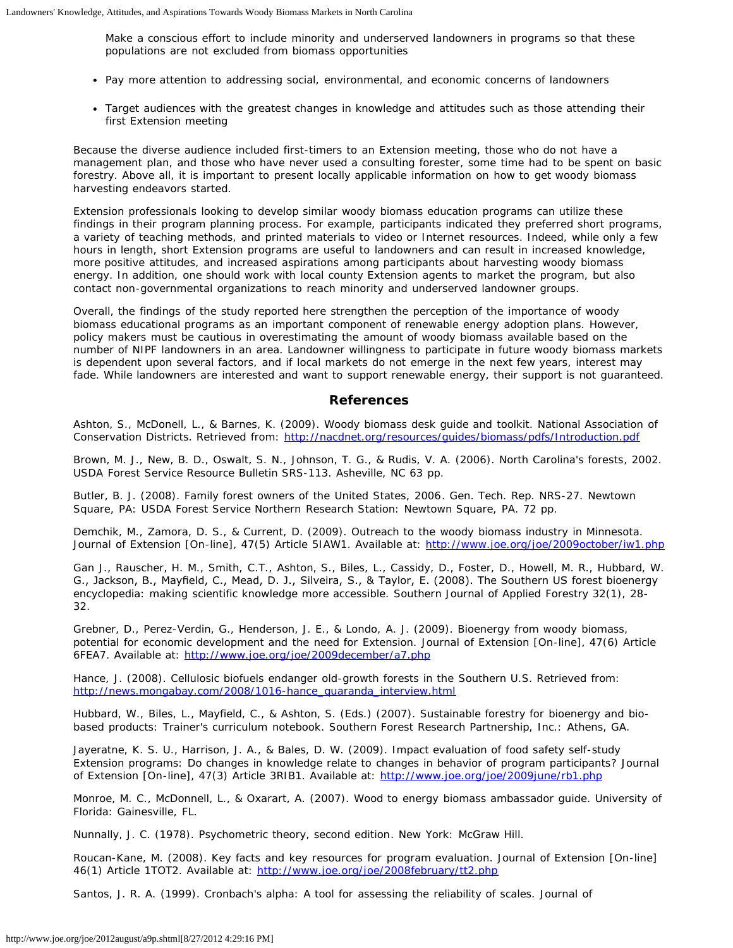Make a conscious effort to include minority and underserved landowners in programs so that these populations are not excluded from biomass opportunities

- Pay more attention to addressing social, environmental, and economic concerns of landowners
- Target audiences with the greatest changes in knowledge and attitudes such as those attending their first Extension meeting

Because the diverse audience included first-timers to an Extension meeting, those who do not have a management plan, and those who have never used a consulting forester, some time had to be spent on basic forestry. Above all, it is important to present locally applicable information on how to get woody biomass harvesting endeavors started.

Extension professionals looking to develop similar woody biomass education programs can utilize these findings in their program planning process. For example, participants indicated they preferred short programs, a variety of teaching methods, and printed materials to video or Internet resources. Indeed, while only a few hours in length, short Extension programs are useful to landowners and can result in increased knowledge, more positive attitudes, and increased aspirations among participants about harvesting woody biomass energy. In addition, one should work with local county Extension agents to market the program, but also contact non-governmental organizations to reach minority and underserved landowner groups.

Overall, the findings of the study reported here strengthen the perception of the importance of woody biomass educational programs as an important component of renewable energy adoption plans. However, policy makers must be cautious in overestimating the amount of woody biomass available based on the number of NIPF landowners in an area. Landowner willingness to participate in future woody biomass markets is dependent upon several factors, and if local markets do not emerge in the next few years, interest may fade. While landowners are interested and want to support renewable energy, their support is not guaranteed.

#### **References**

Ashton, S., McDonell, L., & Barnes, K. (2009). Woody biomass desk guide and toolkit. National Association of Conservation Districts. Retrieved from: <http://nacdnet.org/resources/guides/biomass/pdfs/Introduction.pdf>

Brown, M. J., New, B. D., Oswalt, S. N., Johnson, T. G., & Rudis, V. A. (2006). *North Carolina's forests*, 2002. USDA Forest Service Resource Bulletin SRS-113. Asheville, NC 63 pp.

Butler, B. J. (2008). *Family forest owners of the United States, 2006*. Gen. Tech. Rep. NRS-27. Newtown Square, PA: USDA Forest Service Northern Research Station: Newtown Square, PA. 72 pp.

Demchik, M., Zamora, D. S., & Current, D. (2009). Outreach to the woody biomass industry in Minnesota. *Journal of Extension* [On-line], 47(5) Article 5IAW1. Available at: <http://www.joe.org/joe/2009october/iw1.php>

Gan J., Rauscher, H. M., Smith, C.T., Ashton, S., Biles, L., Cassidy, D., Foster, D., Howell, M. R., Hubbard, W. G., Jackson, B., Mayfield, C., Mead, D. J., Silveira, S., & Taylor, E. (2008). The Southern US forest bioenergy encyclopedia: making scientific knowledge more accessible. *Southern Journal of Applied Forestry* 32(1), 28- 32.

Grebner, D., Perez-Verdin, G., Henderson, J. E., & Londo, A. J. (2009). Bioenergy from woody biomass, potential for economic development and the need for Extension. *Journal of Extension* [On-line], 47(6) Article 6FEA7. Available at: <http://www.joe.org/joe/2009december/a7.php>

Hance, J. (2008). *Cellulosic biofuels endanger old-growth forests in the Southern U.S.* Retrieved from: [http://news.mongabay.com/2008/1016-hance\\_quaranda\\_interview.html](http://news.mongabay.com/2008/1016-hance_quaranda_interview.html)

Hubbard, W., Biles, L., Mayfield, C., & Ashton, S. (Eds.) (2007). *Sustainable forestry for bioenergy and biobased products: Trainer's curriculum notebook*. Southern Forest Research Partnership, Inc.: Athens, GA.

Jayeratne, K. S. U., Harrison, J. A., & Bales, D. W. (2009). Impact evaluation of food safety self-study Extension programs: Do changes in knowledge relate to changes in behavior of program participants? Journal of Extension [On-line], 47(3) Article 3RIB1. Available at: <http://www.joe.org/joe/2009june/rb1.php>

Monroe, M. C., McDonnell, L., & Oxarart, A. (2007). *Wood to energy biomass ambassador guide*. University of Florida: Gainesville, FL.

Nunnally, J. C. (1978). *Psychometric theory, second edition*. New York: McGraw Hill.

Roucan-Kane, M. (2008). Key facts and key resources for program evaluation. *Journal of Extension* [On-line] 46(1) Article 1TOT2. Available at: <http://www.joe.org/joe/2008february/tt2.php>

Santos, J. R. A. (1999). Cronbach's alpha: A tool for assessing the reliability of scales. *Journal of*